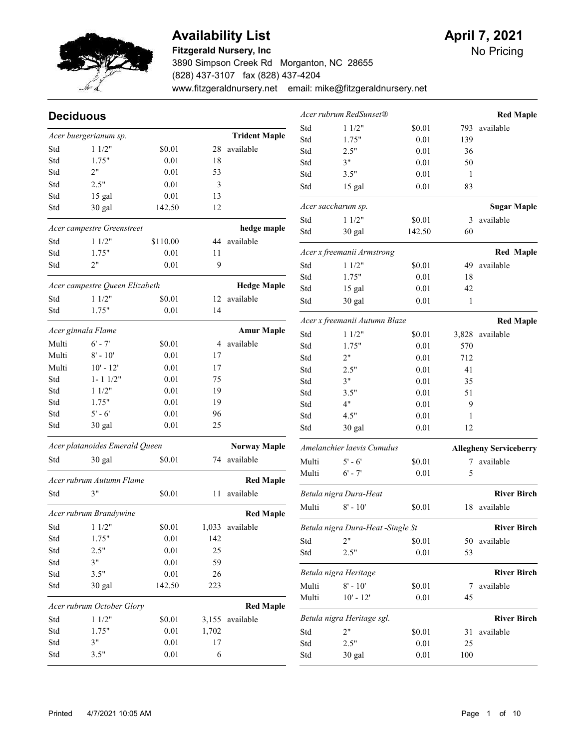

#### Fitzgerald Nursery, Inc

3890 Simpson Creek Rd Morganton, NC 28655 (828) 437-3107 fax (828) 437-4204 www.fitzgeraldnursery.net email: mike@fitzgeraldnursery.net

| <b>Deciduous</b>              |                                |                    |          |                      |                               | Acer rubrum RedSunset®            |                |              | <b>Red Maple</b>              |
|-------------------------------|--------------------------------|--------------------|----------|----------------------|-------------------------------|-----------------------------------|----------------|--------------|-------------------------------|
|                               | Acer buergerianum sp.          |                    |          | <b>Trident Maple</b> | Std                           | 11/2"                             | \$0.01         | 793          | available                     |
|                               |                                | \$0.01             |          | available            | Std                           | 1.75"                             | 0.01           | 139          |                               |
| Std                           | 11/2"                          |                    | 28       |                      | Std                           | 2.5"                              | 0.01           | 36           |                               |
| Std                           | 1.75"<br>2"                    | 0.01               | 18       |                      | Std                           | 3"                                | 0.01           | 50           |                               |
| Std                           |                                | 0.01               | 53       |                      | Std                           | 3.5"                              | 0.01           | $\mathbf{1}$ |                               |
| Std                           | 2.5"                           | 0.01               | 3        |                      | Std                           | 15 gal                            | 0.01           | 83           |                               |
| Std<br>Std                    | 15 gal<br>30 gal               | $0.01\,$<br>142.50 | 13<br>12 |                      |                               | Acer saccharum sp.                |                |              | <b>Sugar Maple</b>            |
|                               |                                |                    |          |                      | Std                           | 11/2"                             | \$0.01         | 3            | available                     |
|                               | Acer campestre Greenstreet     |                    |          | hedge maple          | Std                           | 30 gal                            | 142.50         | 60           |                               |
| Std                           | 11/2"                          | \$110.00           |          | 44 available         |                               |                                   |                |              |                               |
| Std                           | 1.75"                          | 0.01               | 11       |                      |                               | Acer x freemanii Armstrong        |                |              | <b>Red Maple</b>              |
| Std                           | 2"                             | 0.01               | 9        |                      | Std                           | 11/2"                             | \$0.01         | 49           | available                     |
|                               |                                |                    |          |                      | Std                           | 1.75"                             | 0.01           | 18           |                               |
|                               | Acer campestre Queen Elizabeth |                    |          | <b>Hedge Maple</b>   | Std                           | 15 gal                            | 0.01           | 42           |                               |
| Std                           | 11/2"                          | \$0.01             |          | 12 available         | Std                           | 30 gal                            | 0.01           | $\mathbf{1}$ |                               |
| Std                           | 1.75"                          | 0.01               | 14       |                      |                               | Acer x freemanii Autumn Blaze     |                |              | <b>Red Maple</b>              |
|                               | Acer ginnala Flame             |                    |          | <b>Amur Maple</b>    | Std                           | 11/2"                             | \$0.01         | 3,828        | available                     |
| Multi                         | $6' - 7'$                      | \$0.01             |          | 4 available          | Std                           | 1.75"                             | 0.01           | 570          |                               |
| Multi                         | $8' - 10'$                     | 0.01               | 17       |                      | Std                           | 2"                                | 0.01           | 712          |                               |
| Multi                         | $10' - 12'$                    | 0.01               | 17       |                      | Std                           | 2.5"                              | 0.01           | 41           |                               |
| Std                           | $1 - 1$ $1/2"$                 | 0.01               | 75       |                      | Std                           | 3"                                | 0.01           | 35           |                               |
| Std                           | 11/2"                          | 0.01               | 19       |                      | Std                           | 3.5"                              | 0.01           | 51           |                               |
| Std                           | 1.75"                          | 0.01               | 19       |                      | Std                           | 4"                                | 0.01           | 9            |                               |
| Std                           | $5' - 6'$                      | 0.01               | 96       |                      | Std                           | 4.5"                              | 0.01           | 1            |                               |
| Std                           | 30 gal                         | 0.01               | 25       |                      | Std                           | 30 gal                            | 0.01           | 12           |                               |
|                               | Acer platanoides Emerald Queen |                    |          | <b>Norway Maple</b>  |                               | Amelanchier laevis Cumulus        |                |              |                               |
| Std                           | 30 gal                         | \$0.01             |          | 74 available         |                               |                                   |                |              | <b>Allegheny Serviceberry</b> |
|                               |                                |                    |          |                      | Multi<br>Multi                | $5' - 6'$<br>$6' - 7'$            | \$0.01<br>0.01 | 5            | 7 available                   |
|                               | Acer rubrum Autumn Flame       |                    |          | <b>Red Maple</b>     |                               |                                   |                |              |                               |
| Std                           | 3"                             | \$0.01             |          | 11 available         |                               | Betula nigra Dura-Heat            |                |              | <b>River Birch</b>            |
|                               | Acer rubrum Brandywine         |                    |          | <b>Red Maple</b>     | Multi                         | $8' - 10'$                        | \$0.01         |              | 18 available                  |
| Std                           | 11/2"                          | \$0.01             |          | 1,033 available      |                               | Betula nigra Dura-Heat -Single St |                |              | <b>River Birch</b>            |
| Std                           | 1.75"                          | $0.01\,$           | 142      |                      | Std                           | 2"                                | \$0.01         |              | 50 available                  |
| Std                           | 2.5"                           | $0.01\,$           | 25       |                      | Std                           | 2.5"                              | $0.01\,$       | 53           |                               |
| Std                           | 3"                             | $0.01\,$           | 59       |                      |                               |                                   |                |              |                               |
| Std                           | 3.5"                           | $0.01\,$           | 26       |                      |                               | Betula nigra Heritage             |                |              | <b>River Birch</b>            |
| Std                           | 30 gal                         | 142.50             | 223      |                      | Multi                         | $8' - 10'$                        | \$0.01         | 7            | available                     |
|                               | Acer rubrum October Glory      |                    |          | <b>Red Maple</b>     | Multi                         | $10' - 12'$                       | $0.01\,$       | 45           |                               |
| Std                           | 11/2"                          | \$0.01             |          | 3,155 available      |                               | Betula nigra Heritage sgl.        |                |              | <b>River Birch</b>            |
| Std                           | 1.75"                          | $0.01\,$           | 1,702    |                      | $\operatorname{\mathsf{Std}}$ | 2"                                | \$0.01         |              | 31 available                  |
| $\operatorname{\mathsf{Std}}$ | 3"                             | $0.01\,$           | $17$     |                      | Std                           | 2.5"                              | $0.01\,$       | 25           |                               |
| $\operatorname{\mathsf{Std}}$ | 3.5"                           | $0.01\,$           | 6        |                      | Std                           | 30 gal                            | 0.01           | $100\,$      |                               |
|                               |                                |                    |          |                      |                               |                                   |                |              |                               |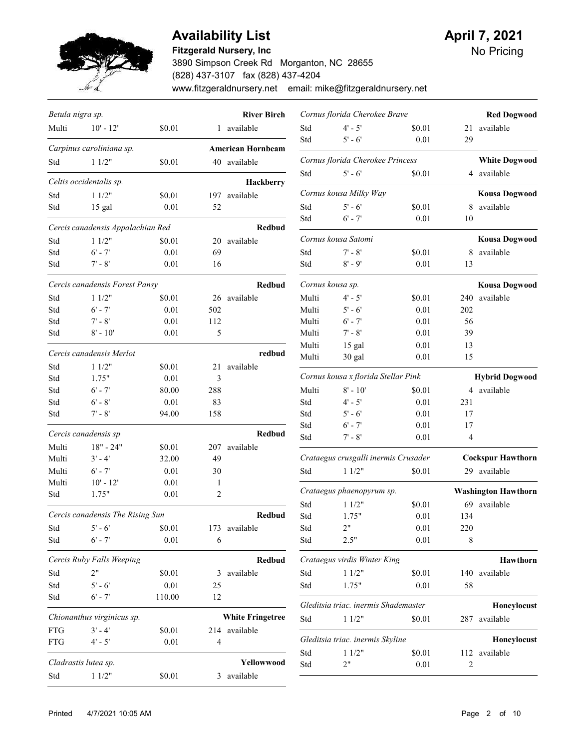

## Availability List **April 7, 2021**

#### Fitzgerald Nursery, Inc

3890 Simpson Creek Rd Morganton, NC 28655 (828) 437-3107 fax (828) 437-4204 www.fitzgeraldnursery.net email: mike@fitzgeraldnursery.net

| Betula nigra sp. |                                   |          |               | <b>River Birch</b>       |                  | Cornus florida Cherokee Brave        |        |                | <b>Red Dogwood</b>         |
|------------------|-----------------------------------|----------|---------------|--------------------------|------------------|--------------------------------------|--------|----------------|----------------------------|
| Multi            | $10' - 12'$                       | \$0.01   |               | 1 available              | Std              | $4' - 5'$                            | \$0.01 |                | 21 available               |
|                  |                                   |          |               |                          | Std              | $5' - 6'$                            | 0.01   | 29             |                            |
|                  | Carpinus caroliniana sp.          |          |               | <b>American Hornbeam</b> |                  |                                      |        |                |                            |
| Std              | 11/2"                             | \$0.01   |               | 40 available             |                  | Cornus florida Cherokee Princess     |        |                | <b>White Dogwood</b>       |
|                  | Celtis occidentalis sp.           |          |               | Hackberry                | Std              | $5' - 6'$                            | \$0.01 |                | 4 available                |
| Std              | 11/2"                             | \$0.01   |               | 197 available            |                  | Cornus kousa Milky Way               |        |                | <b>Kousa Dogwood</b>       |
| Std              | 15 gal                            | 0.01     | 52            |                          | Std              | $5' - 6'$                            | \$0.01 | 8              | available                  |
|                  |                                   |          |               |                          | Std              | $6' - 7'$                            | 0.01   | 10             |                            |
|                  | Cercis canadensis Appalachian Red |          |               | <b>Redbud</b>            |                  | Cornus kousa Satomi                  |        |                | <b>Kousa Dogwood</b>       |
| Std              | 11/2"                             | \$0.01   | 20            | available                |                  | $7' - 8'$                            |        |                | available                  |
| Std              | $6' - 7'$                         | 0.01     | 69            |                          | Std              |                                      | \$0.01 | 8              |                            |
| Std              | $7' - 8'$                         | 0.01     | 16            |                          | Std              | $8' - 9'$                            | 0.01   | 13             |                            |
|                  | Cercis canadensis Forest Pansy    |          |               | Redbud                   | Cornus kousa sp. |                                      |        |                | <b>Kousa Dogwood</b>       |
| Std              | 11/2"                             | \$0.01   |               | 26 available             | Multi            | $4' - 5'$                            | \$0.01 |                | 240 available              |
| Std              | $6' - 7'$                         | 0.01     | 502           |                          | Multi            | $5' - 6'$                            | 0.01   | 202            |                            |
| Std              | $7' - 8'$                         | 0.01     | 112           |                          | Multi            | $6' - 7'$                            | 0.01   | 56             |                            |
| Std              | $8' - 10'$                        | 0.01     | $\mathfrak s$ |                          | Multi            | $7' - 8'$                            | 0.01   | 39             |                            |
|                  |                                   |          |               |                          | Multi            | 15 gal                               | 0.01   | 13             |                            |
|                  | Cercis canadensis Merlot          |          |               | redbud                   | Multi            | 30 gal                               | 0.01   | 15             |                            |
| Std              | 11/2"                             | \$0.01   | 21            | available                |                  |                                      |        |                |                            |
| Std              | 1.75"                             | 0.01     | 3             |                          |                  | Cornus kousa x florida Stellar Pink  |        |                | <b>Hybrid Dogwood</b>      |
| Std              | $6' - 7'$                         | 80.00    | 288           |                          | Multi            | $8' - 10'$                           | \$0.01 |                | 4 available                |
| Std              | $6' - 8'$                         | $0.01\,$ | 83            |                          | Std              | $4' - 5'$                            | 0.01   | 231            |                            |
| Std              | $7' - 8'$                         | 94.00    | 158           |                          | Std              | $5' - 6'$                            | 0.01   | 17             |                            |
|                  | Cercis canadensis sp              |          |               | Redbud                   | Std              | $6' - 7'$                            | 0.01   | 17             |                            |
| Multi            | $18" - 24"$                       | \$0.01   | 207           | available                | Std              | $7' - 8'$                            | 0.01   | 4              |                            |
| Multi            | $3' - 4'$                         | 32.00    | 49            |                          |                  | Crataegus crusgalli inermis Crusader |        |                | <b>Cockspur Hawthorn</b>   |
| Multi            | $6' - 7'$                         | 0.01     | 30            |                          | Std              | 11/2"                                | \$0.01 |                | 29 available               |
| Multi            | $10' - 12'$                       | $0.01\,$ | 1             |                          |                  |                                      |        |                |                            |
| Std              | 1.75"                             | 0.01     | 2             |                          |                  | Crataegus phaenopyrum sp.            |        |                | <b>Washington Hawthorn</b> |
|                  |                                   |          |               |                          | Std              | 11/2"                                | \$0.01 | 69             | available                  |
|                  | Cercis canadensis The Rising Sun  |          |               | Redbud                   | Std              | 1.75"                                | 0.01   | 134            |                            |
| Std              | $5' - 6'$                         | \$0.01   |               | 173 available            | Std              | 2"                                   | 0.01   | 220            |                            |
| Std              | $6' - 7'$                         | $0.01\,$ | 6             |                          | Std              | 2.5"                                 | 0.01   | 8              |                            |
|                  | Cercis Ruby Falls Weeping         |          |               | Redbud                   |                  | Crataegus virdis Winter King         |        |                | Hawthorn                   |
| Std              | 2"                                | \$0.01   |               | 3 available              | Std              | 11/2"                                | \$0.01 |                | 140 available              |
| Std              | $5' - 6'$                         | $0.01\,$ | 25            |                          | Std              | 1.75"                                | 0.01   | 58             |                            |
| Std              | $6' - 7'$                         | 110.00   | 12            |                          |                  |                                      |        |                |                            |
|                  |                                   |          |               |                          |                  | Gleditsia triac. inermis Shademaster |        |                | Honeylocust                |
|                  | Chionanthus virginicus sp.        |          |               | <b>White Fringetree</b>  | Std              | 11/2"                                | \$0.01 |                | 287 available              |
| <b>FTG</b>       | $3' - 4'$                         | \$0.01   |               | 214 available            |                  | Gleditsia triac. inermis Skyline     |        |                | Honeylocust                |
| <b>FTG</b>       | $4' - 5'$                         | 0.01     | 4             |                          | Std              | 11/2"                                | \$0.01 |                | 112 available              |
|                  | Cladrastis lutea sp.              |          |               | Yellowwood               | Std              | 2"                                   | 0.01   | $\overline{c}$ |                            |
| Std              | 11/2"                             | \$0.01   |               | 3 available              |                  |                                      |        |                |                            |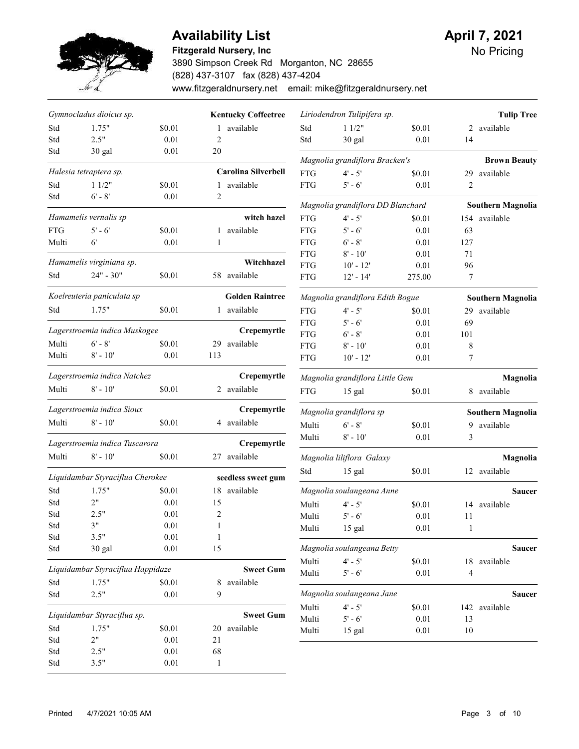

#### Fitzgerald Nursery, Inc

3890 Simpson Creek Rd Morganton, NC 28655 (828) 437-3107 fax (828) 437-4204 www.fitzgeraldnursery.net email: mike@fitzgeraldnursery.net

|            | Gymnocladus dioicus sp.                   |          |     | <b>Kentucky Coffeetree</b>         |            | Liriodendron Tulipifera sp.       |          |                | <b>Tulip Tree</b>                |
|------------|-------------------------------------------|----------|-----|------------------------------------|------------|-----------------------------------|----------|----------------|----------------------------------|
| Std        | 1.75"                                     | \$0.01   |     | 1 available                        | Std        | 11/2"                             | \$0.01   | 2              | available                        |
| Std        | 2.5"                                      | 0.01     | 2   |                                    | Std        | 30 gal                            | 0.01     | 14             |                                  |
| Std        | 30 gal                                    | 0.01     | 20  |                                    |            | Magnolia grandiflora Bracken's    |          |                |                                  |
|            | Halesia tetraptera sp.                    |          |     | <b>Carolina Silverbell</b>         | <b>FTG</b> | $4' - 5'$                         | \$0.01   | 29             | <b>Brown Beauty</b><br>available |
| Std        | 11/2"                                     | \$0.01   |     | 1 available                        | <b>FTG</b> | $5' - 6'$                         | 0.01     | $\overline{2}$ |                                  |
| Std        | $6' - 8'$                                 | 0.01     | 2   |                                    |            |                                   |          |                |                                  |
|            |                                           |          |     |                                    |            | Magnolia grandiflora DD Blanchard |          |                | <b>Southern Magnolia</b>         |
|            | Hamamelis vernalis sp                     |          |     | witch hazel                        | <b>FTG</b> | $4' - 5'$                         | \$0.01   |                | 154 available                    |
| <b>FTG</b> | $5' - 6'$                                 | \$0.01   |     | 1 available                        | <b>FTG</b> | $5' - 6'$                         | 0.01     | 63             |                                  |
| Multi      | $6^{\prime}$                              | 0.01     | 1   |                                    | <b>FTG</b> | $6' - 8'$                         | 0.01     | 127            |                                  |
|            |                                           |          |     |                                    | <b>FTG</b> | $8' - 10'$                        | 0.01     | 71             |                                  |
|            | Hamamelis virginiana sp.                  |          |     | Witchhazel                         | <b>FTG</b> | $10' - 12'$                       | 0.01     | 96             |                                  |
| Std        | 24" - 30"                                 | \$0.01   |     | 58 available                       | <b>FTG</b> | $12' - 14'$                       | 275.00   | $\tau$         |                                  |
|            | Koelreuteria paniculata sp                |          |     | <b>Golden Raintree</b>             |            | Magnolia grandiflora Edith Bogue  |          |                | <b>Southern Magnolia</b>         |
| Std        | 1.75"                                     | \$0.01   |     | 1 available                        | <b>FTG</b> | $4' - 5'$                         | \$0.01   | 29             | available                        |
|            |                                           |          |     |                                    | <b>FTG</b> | $5' - 6'$                         | 0.01     | 69             |                                  |
|            | Lagerstroemia indica Muskogee             |          |     | Crepemyrtle                        | <b>FTG</b> | $6' - 8'$                         | 0.01     | 101            |                                  |
| Multi      | $6' - 8'$                                 | \$0.01   | 29  | available                          | <b>FTG</b> | $8' - 10'$                        | 0.01     | 8              |                                  |
| Multi      | $8' - 10'$                                | 0.01     | 113 |                                    | <b>FTG</b> | $10' - 12'$                       | 0.01     | 7              |                                  |
|            | Lagerstroemia indica Natchez              |          |     | Crepemyrtle                        |            | Magnolia grandiflora Little Gem   |          |                | Magnolia                         |
| Multi      | $8' - 10'$                                | \$0.01   |     | 2 available                        | <b>FTG</b> | 15 gal                            | \$0.01   |                | 8 available                      |
|            | Lagerstroemia indica Sioux                |          |     | Crepemyrtle                        |            | Magnolia grandiflora sp           |          |                | <b>Southern Magnolia</b>         |
| Multi      | $8' - 10'$                                | \$0.01   |     | 4 available                        | Multi      | $6' - 8'$                         | \$0.01   | 9              | available                        |
|            | Lagerstroemia indica Tuscarora            |          |     | Crepemyrtle                        | Multi      | $8' - 10'$                        | 0.01     | 3              |                                  |
| Multi      | $8' - 10'$                                | \$0.01   |     | 27 available                       |            | Magnolia liliflora Galaxy         |          |                | Magnolia                         |
|            |                                           |          |     |                                    | Std        | 15 gal                            | \$0.01   |                | 12 available                     |
| Std        | Liquidambar Styraciflua Cherokee<br>1.75" | \$0.01   |     | seedless sweet gum<br>18 available |            | Magnolia soulangeana Anne         |          |                | <b>Saucer</b>                    |
| Std        | 2"                                        | 0.01     | 15  |                                    | Multi      |                                   |          |                |                                  |
| Std        | 2.5"                                      | 0.01     | 2   |                                    |            | $4' - 5'$<br>$5' - 6'$            | \$0.01   |                | 14 available                     |
| Std        | 3"                                        | 0.01     | 1   |                                    | Multi      |                                   | 0.01     | 11             |                                  |
| Std        | 3.5"                                      | 0.01     | 1   |                                    | Multi      | 15 gal                            | 0.01     | 1              |                                  |
| Std        | 30 gal                                    | 0.01     | 15  |                                    |            | Magnolia soulangeana Betty        |          |                | Saucer                           |
|            |                                           |          |     |                                    | Multi      | $4' - 5'$                         | \$0.01   |                | 18 available                     |
|            | Liquidambar Styraciflua Happidaze         |          |     | <b>Sweet Gum</b>                   | Multi      | $5' - 6'$                         | $0.01\,$ | $\overline{4}$ |                                  |
| Std        | 1.75"                                     | \$0.01   | 8   | available                          |            |                                   |          |                |                                  |
| Std        | 2.5"                                      | 0.01     | 9   |                                    |            | Magnolia soulangeana Jane         |          |                | Saucer                           |
|            | Liquidambar Styraciflua sp.               |          |     | <b>Sweet Gum</b>                   | Multi      | $4' - 5'$                         | \$0.01   |                | 142 available                    |
| Std        | 1.75"                                     | \$0.01   |     | 20 available                       | Multi      | $5' - 6'$                         | $0.01\,$ | 13             |                                  |
| Std        | 2"                                        | $0.01\,$ | 21  |                                    | Multi      | 15 gal                            | 0.01     | 10             |                                  |
| Std        | 2.5"                                      | $0.01\,$ | 68  |                                    |            |                                   |          |                |                                  |
|            |                                           | $0.01\,$ |     |                                    |            |                                   |          |                |                                  |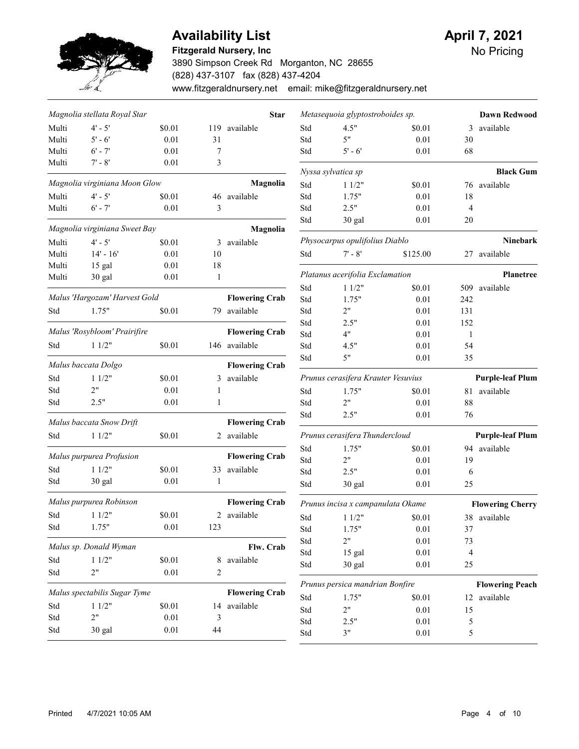

## Availability List **April 7, 2021**

#### Fitzgerald Nursery, Inc

3890 Simpson Creek Rd Morganton, NC 28655 (828) 437-3107 fax (828) 437-4204 www.fitzgeraldnursery.net email: mike@fitzgeraldnursery.net

|       | Magnolia stellata Royal Star  |          |              | <b>Star</b>           |     | Metasequoia glyptostroboides sp.   |          |                | <b>Dawn Redwood</b>              |
|-------|-------------------------------|----------|--------------|-----------------------|-----|------------------------------------|----------|----------------|----------------------------------|
| Multi | $4' - 5'$                     | \$0.01   |              | 119 available         | Std | 4.5"                               | \$0.01   | 3              | available                        |
| Multi | $5' - 6'$                     | 0.01     | 31           |                       | Std | 5"                                 | 0.01     | 30             |                                  |
| Multi | $6' - 7'$                     | 0.01     | 7            |                       | Std | $5' - 6'$                          | 0.01     | 68             |                                  |
| Multi | $7' - 8'$                     | 0.01     | 3            |                       |     |                                    |          |                |                                  |
|       | Magnolia virginiana Moon Glow |          |              | Magnolia              | Std | Nyssa sylvatica sp<br>11/2"        | \$0.01   |                | <b>Black Gum</b><br>76 available |
| Multi | $4' - 5'$                     | \$0.01   |              | 46 available          | Std | 1.75"                              | 0.01     | 18             |                                  |
| Multi | $6' - 7'$                     | 0.01     | 3            |                       | Std | 2.5"                               | 0.01     | $\overline{4}$ |                                  |
|       |                               |          |              |                       | Std | 30 gal                             | 0.01     | 20             |                                  |
|       | Magnolia virginiana Sweet Bay |          |              | Magnolia              |     |                                    |          |                |                                  |
| Multi | $4' - 5'$                     | \$0.01   | 3            | available             |     | Physocarpus opulifolius Diablo     |          |                | Ninebark                         |
| Multi | $14' - 16'$                   | 0.01     | 10           |                       | Std | $7' - 8'$                          | \$125.00 |                | 27 available                     |
| Multi | 15 gal                        | 0.01     | 18           |                       |     |                                    |          |                |                                  |
| Multi | 30 gal                        | 0.01     | $\mathbf{1}$ |                       |     | Platanus acerifolia Exclamation    |          |                | <b>Planetree</b>                 |
|       |                               |          |              |                       | Std | 11/2"                              | \$0.01   |                | 509 available                    |
|       | Malus 'Hargozam' Harvest Gold |          |              | <b>Flowering Crab</b> | Std | 1.75"                              | 0.01     | 242            |                                  |
| Std   | 1.75"                         | \$0.01   |              | 79 available          | Std | 2"                                 | 0.01     | 131            |                                  |
|       |                               |          |              |                       | Std | 2.5"                               | 0.01     | 152            |                                  |
|       | Malus 'Rosybloom' Prairifire  |          |              | <b>Flowering Crab</b> | Std | 4"                                 | 0.01     | $\mathbf{1}$   |                                  |
| Std   | 11/2"                         | \$0.01   |              | 146 available         | Std | 4.5"                               | 0.01     | 54             |                                  |
|       | Malus baccata Dolgo           |          |              | <b>Flowering Crab</b> | Std | 5"                                 | 0.01     | 35             |                                  |
| Std   | 11/2"                         | \$0.01   |              | 3 available           |     | Prunus cerasifera Krauter Vesuvius |          |                | <b>Purple-leaf Plum</b>          |
| Std   | 2"                            | 0.01     | 1            |                       | Std | 1.75"                              | \$0.01   |                | 81 available                     |
| Std   | 2.5"                          | 0.01     | $\mathbf{1}$ |                       | Std | 2"                                 | 0.01     | 88             |                                  |
|       | Malus baccata Snow Drift      |          |              | <b>Flowering Crab</b> | Std | 2.5"                               | 0.01     | 76             |                                  |
| Std   | 11/2"                         | \$0.01   |              | 2 available           |     | Prunus cerasifera Thundercloud     |          |                | <b>Purple-leaf Plum</b>          |
|       |                               |          |              |                       | Std | 1.75"                              | \$0.01   | 94             | available                        |
|       | Malus purpurea Profusion      |          |              | <b>Flowering Crab</b> | Std | 2"                                 | 0.01     | 19             |                                  |
| Std   | 11/2"                         | \$0.01   |              | 33 available          | Std | 2.5"                               | 0.01     | 6              |                                  |
| Std   | 30 gal                        | 0.01     | 1            |                       | Std | 30 gal                             | 0.01     | 25             |                                  |
|       | Malus purpurea Robinson       |          |              | <b>Flowering Crab</b> |     | Prunus incisa x campanulata Okame  |          |                | <b>Flowering Cherry</b>          |
| Std   | 11/2"                         | \$0.01   |              | 2 available           | Std | 11/2"                              | \$0.01   |                | 38 available                     |
| Std   | 1.75"                         | 0.01     | 123          |                       | Std | 1.75"                              | 0.01     | 37             |                                  |
|       |                               |          |              |                       | Std | 2"                                 | 0.01     | 73             |                                  |
|       | Malus sp. Donald Wyman        |          |              | Flw. Crab             | Std | 15 gal                             | 0.01     | 4              |                                  |
| Std   | 11/2"                         | \$0.01   | 8            | available             | Std | 30 gal                             | 0.01     | 25             |                                  |
| Std   | 2"                            | 0.01     | 2            |                       |     |                                    |          |                |                                  |
|       | Malus spectabilis Sugar Tyme  |          |              | <b>Flowering Crab</b> |     | Prunus persica mandrian Bonfire    |          |                | <b>Flowering Peach</b>           |
| Std   | 11/2"                         | \$0.01   |              | 14 available          | Std | 1.75"                              | \$0.01   |                | 12 available                     |
| Std   | 2"                            | $0.01\,$ | 3            |                       | Std | 2"                                 | $0.01\,$ | 15             |                                  |
| Std   |                               | 0.01     | 44           |                       | Std | 2.5"                               | 0.01     | 5              |                                  |
|       | 30 gal                        |          |              |                       | Std | 3"                                 | $0.01\,$ | 5              |                                  |
|       |                               |          |              |                       |     |                                    |          |                |                                  |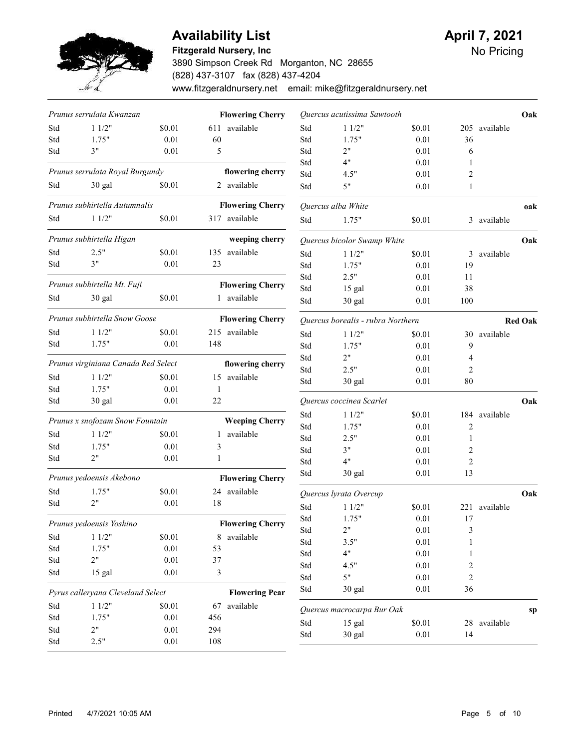

#### Fitzgerald Nursery, Inc

3890 Simpson Creek Rd Morganton, NC 28655 (828) 437-3107 fax (828) 437-4204 www.fitzgeraldnursery.net email: mike@fitzgeraldnursery.net

|     | Prunus serrulata Kwanzan            |          |                | <b>Flowering Cherry</b> |     | Quercus acutissima Sawtooth       |          |                |               | Oak            |
|-----|-------------------------------------|----------|----------------|-------------------------|-----|-----------------------------------|----------|----------------|---------------|----------------|
| Std | 11/2"                               | \$0.01   |                | 611 available           | Std | 11/2"                             | \$0.01   |                | 205 available |                |
| Std | 1.75"                               | 0.01     | 60             |                         | Std | 1.75"                             | 0.01     | 36             |               |                |
| Std | 3"                                  | 0.01     | 5              |                         | Std | 2"                                | 0.01     | 6              |               |                |
|     |                                     |          |                |                         | Std | 4"                                | 0.01     | 1              |               |                |
|     | Prunus serrulata Royal Burgundy     |          |                | flowering cherry        | Std | 4.5"                              | 0.01     | 2              |               |                |
| Std | 30 gal                              | \$0.01   |                | 2 available             | Std | 5"                                | 0.01     | 1              |               |                |
|     | Prunus subhirtella Autumnalis       |          |                | <b>Flowering Cherry</b> |     | Quercus alba White                |          |                |               | oak            |
| Std | 11/2"                               | \$0.01   |                | 317 available           | Std | 1.75"                             | \$0.01   |                | 3 available   |                |
|     | Prunus subhirtella Higan            |          |                | weeping cherry          |     | Quercus bicolor Swamp White       |          |                |               | Oak            |
| Std | 2.5"                                | \$0.01   |                | 135 available           | Std | 11/2"                             | \$0.01   |                | 3 available   |                |
| Std | 3"                                  | 0.01     | 23             |                         | Std | 1.75"                             | 0.01     | 19             |               |                |
|     |                                     |          |                |                         | Std | 2.5"                              | 0.01     | 11             |               |                |
|     | Prunus subhirtella Mt. Fuji         |          |                | <b>Flowering Cherry</b> | Std | 15 gal                            | 0.01     | 38             |               |                |
| Std | 30 gal                              | \$0.01   |                | 1 available             | Std | 30 gal                            | 0.01     | 100            |               |                |
|     | Prunus subhirtella Snow Goose       |          |                | <b>Flowering Cherry</b> |     | Quercus borealis - rubra Northern |          |                |               | <b>Red Oak</b> |
| Std | 11/2"                               | \$0.01   |                | 215 available           | Std | 11/2"                             | \$0.01   |                | 30 available  |                |
| Std | 1.75"                               | 0.01     | 148            |                         | Std | 1.75"                             | 0.01     | 9              |               |                |
|     |                                     |          |                |                         | Std | 2"                                | 0.01     | 4              |               |                |
|     | Prunus virginiana Canada Red Select |          |                | flowering cherry        | Std | 2.5"                              | 0.01     | 2              |               |                |
| Std | 11/2"                               | \$0.01   |                | 15 available            | Std | 30 gal                            | 0.01     | 80             |               |                |
| Std | 1.75"                               | 0.01     | 1              |                         |     |                                   |          |                |               |                |
| Std | 30 gal                              | 0.01     | 22             |                         |     | Quercus coccinea Scarlet          |          |                |               | Oak            |
|     | Prunus x snofozam Snow Fountain     |          |                | <b>Weeping Cherry</b>   | Std | 11/2"                             | \$0.01   |                | 184 available |                |
| Std | 11/2"                               | \$0.01   |                | 1 available             | Std | 1.75"                             | 0.01     | $\overline{c}$ |               |                |
| Std | 1.75"                               | 0.01     | 3              |                         | Std | 2.5"                              | 0.01     | 1              |               |                |
| Std | 2"                                  | 0.01     | 1              |                         | Std | 3"                                | 0.01     | 2              |               |                |
|     |                                     |          |                |                         | Std | 4"                                | 0.01     | $\overline{2}$ |               |                |
|     | Prunus yedoensis Akebono            |          |                | <b>Flowering Cherry</b> | Std | 30 gal                            | 0.01     | 13             |               |                |
| Std | 1.75"                               | \$0.01   |                | 24 available            |     | Quercus lyrata Overcup            |          |                |               | Oak            |
| Std | 2"                                  | 0.01     | 18             |                         | Std | 11/2"                             | \$0.01   |                | 221 available |                |
|     | Prunus yedoensis Yoshino            |          |                | <b>Flowering Cherry</b> | Std | 1.75"                             | 0.01     | 17             |               |                |
| Std | 11/2"                               | \$0.01   |                | 8 available             | Std | 2"                                | $0.01\,$ | 3              |               |                |
| Std | 1.75"                               | $0.01\,$ | 53             |                         | Std | 3.5"                              | $0.01\,$ |                |               |                |
| Std | 2"                                  | $0.01\,$ | 37             |                         | Std | 4"                                | $0.01\,$ | 1              |               |                |
| Std | 15 gal                              | $0.01\,$ | $\mathfrak{Z}$ |                         | Std | 4.5"                              | $0.01\,$ | 2              |               |                |
|     |                                     |          |                |                         | Std | 5"                                | $0.01\,$ | 2              |               |                |
|     | Pyrus calleryana Cleveland Select   |          |                | <b>Flowering Pear</b>   | Std | 30 gal                            | $0.01\,$ | 36             |               |                |
| Std | 11/2"                               | \$0.01   |                | 67 available            |     | Quercus macrocarpa Bur Oak        |          |                |               | sp             |
| Std | 1.75"                               | $0.01\,$ | 456            |                         | Std | 15 gal                            | $\$0.01$ |                | 28 available  |                |
| Std | 2"                                  | $0.01\,$ | 294            |                         | Std | 30 gal                            | $0.01\,$ | 14             |               |                |
| Std | 2.5"                                | $0.01\,$ | 108            |                         |     |                                   |          |                |               |                |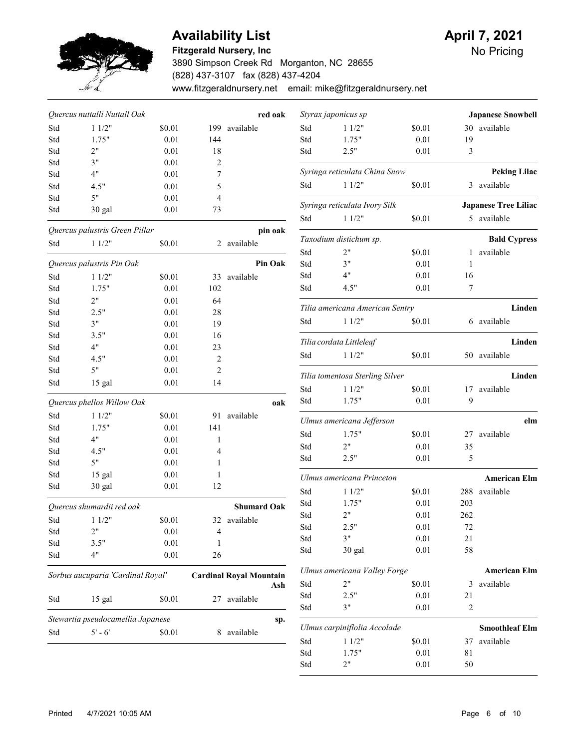

### **Availability List**

#### Fitzgerald Nursery, Inc

3890 Simpson Creek Rd Morganton, NC 28655 (828) 437-3107 fax (828) 437-4204 www.fitzgeraldnursery.net email: mike@fitzgeraldnursery.net

| April 7, 2021 |  |
|---------------|--|
|               |  |

|     | Quercus nuttalli Nuttall Oak      |        |                | red oak                               |
|-----|-----------------------------------|--------|----------------|---------------------------------------|
| Std | 11/2"                             | \$0.01 | 199            | available                             |
| Std | 1.75"                             | 0.01   | 144            |                                       |
| Std | 2"                                | 0.01   | 18             |                                       |
| Std | 3"                                | 0.01   | 2              |                                       |
| Std | 4"                                | 0.01   | 7              |                                       |
| Std | 4.5"                              | 0.01   | 5              |                                       |
| Std | 5"                                | 0.01   | 4              |                                       |
| Std | 30 gal                            | 0.01   | 73             |                                       |
|     | Quercus palustris Green Pillar    |        |                | pin oak                               |
| Std | 11/2"                             | \$0.01 | 2              | available                             |
|     | Quercus palustris Pin Oak         |        |                | <b>Pin Oak</b>                        |
| Std | 11/2"                             | \$0.01 | 33             | available                             |
| Std | 1.75"                             | 0.01   | 102            |                                       |
| Std | 2"                                | 0.01   | 64             |                                       |
| Std | 2.5"                              | 0.01   | 28             |                                       |
| Std | 3"                                | 0.01   | 19             |                                       |
| Std | 3.5"                              | 0.01   | 16             |                                       |
| Std | 4"                                | 0.01   | 23             |                                       |
| Std | 4.5"                              | 0.01   | $\overline{c}$ |                                       |
| Std | 5"                                | 0.01   | 2              |                                       |
| Std | 15 gal                            | 0.01   | 14             |                                       |
|     | Quercus phellos Willow Oak        |        |                | oak                                   |
| Std | 11/2"                             | \$0.01 | 91             | available                             |
| Std | 1.75"                             | 0.01   | 141            |                                       |
| Std | 4"                                | 0.01   | 1              |                                       |
| Std | 4.5"                              | 0.01   | 4              |                                       |
| Std | 5"                                | 0.01   | 1              |                                       |
| Std | 15 gal                            | 0.01   | 1              |                                       |
| Std | 30 gal                            | 0.01   | 12             |                                       |
|     | Quercus shumardii red oak         |        |                | <b>Shumard Oak</b>                    |
| Std | 11/2"                             | \$0.01 | 32             | available                             |
| Std | 2"                                | 0.01   | 4              |                                       |
| Std | 3.5"                              | 0.01   | 1              |                                       |
| Std | 4"                                | 0.01   | 26             |                                       |
|     | Sorbus aucuparia 'Cardinal Royal' |        |                | <b>Cardinal Royal Mountain</b><br>Ash |
| Std | 15 gal                            | \$0.01 | 27             | available                             |
|     | Stewartia pseudocamellia Japanese |        |                | sp.                                   |
| Std | $5' - 6'$                         | \$0.01 | 8              | available                             |
|     |                                   |        |                |                                       |

| <b>Japanese Snowbell</b>    |     |        | Styrax japonicus sp             |     |
|-----------------------------|-----|--------|---------------------------------|-----|
| 30 available                |     | \$0.01 | 11/2"                           | Std |
|                             | 19  | 0.01   | 1.75"                           | Std |
|                             | 3   | 0.01   | 2.5"                            | Std |
| <b>Peking Lilac</b>         |     |        | Syringa reticulata China Snow   |     |
| available                   | 3   | \$0.01 | 11/2"                           | Std |
| <b>Japanese Tree Liliac</b> |     |        | Syringa reticulata Ivory Silk   |     |
| 5 available                 |     | \$0.01 | 11/2"                           | Std |
| <b>Bald Cypress</b>         |     |        | Taxodium distichum sp.          |     |
| available                   | 1   | \$0.01 | 2"                              | Std |
|                             | 1   | 0.01   | 3"                              | Std |
|                             | 16  | 0.01   | 4"                              | Std |
|                             | 7   | 0.01   | 4.5"                            | Std |
| Linden                      |     |        | Tilia americana American Sentry |     |
| available                   | 6   | \$0.01 | 11/2"                           | Std |
| Linden                      |     |        | Tilia cordata Littleleaf        |     |
| 50 available                |     | \$0.01 | 11/2"                           | Std |
| Linden                      |     |        | Tilia tomentosa Sterling Silver |     |
| available                   | 17  | \$0.01 | 11/2"                           | Std |
|                             | 9   | 0.01   | 1.75"                           | Std |
| elm                         |     |        | Ulmus americana Jefferson       |     |
| available                   | 27  | \$0.01 | 1.75"                           | Std |
|                             | 35  | 0.01   | 2"                              | Std |
|                             | 5   | 0.01   | 2.5"                            | Std |
| <b>American Elm</b>         |     |        | Ulmus americana Princeton       |     |
| available                   | 288 | \$0.01 | 11/2"                           | Std |
|                             | 203 | 0.01   | 1.75"                           | Std |
|                             | 262 | 0.01   | 2"                              | Std |
|                             | 72  | 0.01   | 2.5"                            | Std |
|                             | 21  | 0.01   | 3"                              | Std |
|                             | 58  | 0.01   | 30 gal                          | Std |
| <b>American Elm</b>         |     |        | Ulmus americana Valley Forge    |     |
| available                   | 3   | \$0.01 | 2"                              | Std |
|                             | 21  | 0.01   | 2.5"                            | Std |
|                             | 2   | 0.01   | 3"                              | Std |
| <b>Smoothleaf Elm</b>       |     |        | Ulmus carpiniflolia Accolade    |     |
| available                   | 37  | \$0.01 | 11/2"                           | Std |
|                             |     | 0.01   | 1.75"                           | Std |
|                             | 81  |        |                                 |     |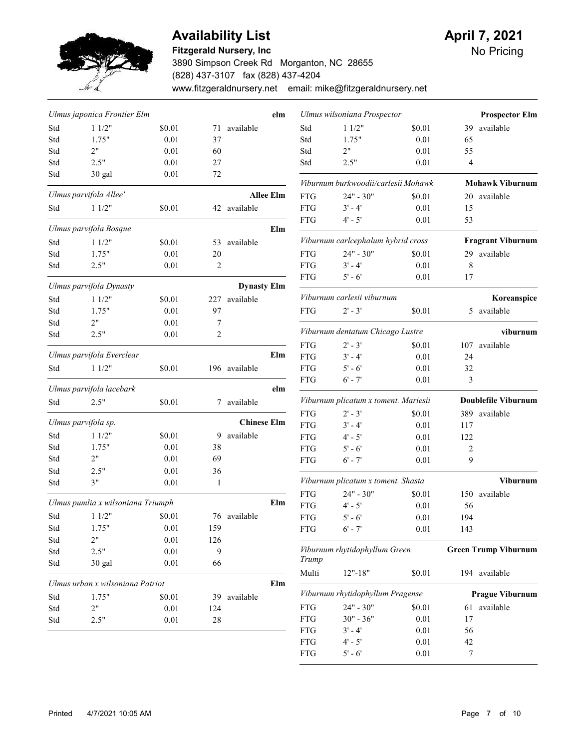

### Availability List **April 7, 2021**

#### Fitzgerald Nursery, Inc

3890 Simpson Creek Rd Morganton, NC 28655 (828) 437-3107 fax (828) 437-4204 www.fitzgeraldnursery.net email: mike@fitzgeraldnursery.net

FTG 5' - 6' 0.01 7

No Pricing

|     | Ulmus japonica Frontier Elm       |        |                |                    | elm              |                          | Ulmus wilsoniana Prospector          |                |                       | <b>Prospector Elm</b>       |
|-----|-----------------------------------|--------|----------------|--------------------|------------------|--------------------------|--------------------------------------|----------------|-----------------------|-----------------------------|
| Std | 11/2"                             | \$0.01 | 71             | available          |                  | Std                      | 11/2"                                | \$0.01         | 39                    | available                   |
| Std | 1.75"                             | 0.01   | 37             |                    |                  | Std                      | 1.75"                                | 0.01           | 65                    |                             |
| Std | 2"                                | 0.01   | 60             |                    |                  | Std                      | 2"                                   | 0.01           | 55                    |                             |
| Std | 2.5"                              | 0.01   | 27             |                    |                  | Std                      | 2.5"                                 | 0.01           | 4                     |                             |
| Std | 30 gal                            | 0.01   | 72             |                    |                  |                          | Viburnum burkwoodii/carlesii Mohawk  |                |                       | <b>Mohawk Viburnum</b>      |
|     | Ulmus parvifola Allee'            |        |                |                    | <b>Allee Elm</b> | <b>FTG</b>               | $24" - 30"$                          | \$0.01         |                       | 20 available                |
| Std | 11/2"                             | \$0.01 |                | 42 available       |                  | <b>FTG</b>               | $3' - 4'$                            | 0.01           | 15                    |                             |
|     |                                   |        |                |                    |                  | <b>FTG</b>               | $4' - 5'$                            | 0.01           | 53                    |                             |
|     | Ulmus parvifola Bosque            |        |                |                    | Elm              |                          | Viburnum carlcephalum hybrid cross   |                |                       | <b>Fragrant Viburnum</b>    |
| Std | 11/2"                             | \$0.01 | 53             | available          |                  |                          |                                      |                |                       |                             |
| Std | 1.75"                             | 0.01   | 20             |                    |                  | <b>FTG</b>               | $24" - 30"$                          | \$0.01         |                       | 29 available                |
| Std | 2.5"                              | 0.01   | 2              |                    |                  | <b>FTG</b>               | $3' - 4'$                            | 0.01           | 8                     |                             |
|     | Ulmus parvifola Dynasty           |        |                | <b>Dynasty Elm</b> |                  | <b>FTG</b>               | $5' - 6'$                            | 0.01           | 17                    |                             |
| Std | 11/2"                             | \$0.01 | 227            | available          |                  |                          | Viburnum carlesii viburnum           |                |                       | Koreanspice                 |
| Std | 1.75"                             | 0.01   | 97             |                    |                  | <b>FTG</b>               | $2' - 3'$                            | \$0.01         |                       | 5 available                 |
| Std | 2"                                | 0.01   | 7              |                    |                  |                          |                                      |                |                       |                             |
| Std | 2.5"                              | 0.01   | $\overline{2}$ |                    |                  |                          | Viburnum dentatum Chicago Lustre     |                |                       | viburnum                    |
|     | Ulmus parvifola Everclear         |        |                |                    | Elm              | <b>FTG</b><br><b>FTG</b> | $2' - 3'$<br>$3' - 4'$               | \$0.01<br>0.01 | 107<br>24             | available                   |
| Std | 11/2"                             | \$0.01 |                | 196 available      |                  | <b>FTG</b>               | $5' - 6'$                            | $0.01\,$       | 32                    |                             |
|     |                                   |        |                |                    |                  | <b>FTG</b>               | $6' - 7'$                            | 0.01           | 3                     |                             |
|     | Ulmus parvifola lacebark          |        |                |                    | elm              |                          |                                      |                |                       |                             |
| Std | 2.5"                              | \$0.01 |                | 7 available        |                  |                          | Viburnum plicatum x toment. Mariesii |                |                       | <b>Doublefile Viburnum</b>  |
|     | Ulmus parvifola sp.               |        |                | <b>Chinese Elm</b> |                  | <b>FTG</b>               | $2' - 3'$                            | \$0.01         |                       | 389 available               |
| Std | 11/2"                             | \$0.01 | 9              | available          |                  | <b>FTG</b>               | $3' - 4'$                            | $0.01\,$       | 117                   |                             |
| Std | 1.75"                             | 0.01   | 38             |                    |                  | <b>FTG</b><br><b>FTG</b> | $4' - 5'$<br>$5' - 6'$               | 0.01<br>0.01   | 122<br>$\overline{c}$ |                             |
| Std | 2"                                | 0.01   | 69             |                    |                  | <b>FTG</b>               | $6' - 7'$                            | 0.01           | 9                     |                             |
| Std | 2.5"                              | 0.01   | 36             |                    |                  |                          |                                      |                |                       |                             |
| Std | 3"                                | 0.01   | 1              |                    |                  |                          | Viburnum plicatum x toment. Shasta   |                |                       | <b>Viburnum</b>             |
|     |                                   |        |                |                    |                  | <b>FTG</b>               | $24" - 30"$                          | \$0.01         |                       | 150 available               |
|     | Ulmus pumlia x wilsoniana Triumph |        |                |                    | Elm              | <b>FTG</b>               | $4' - 5'$                            | 0.01           | 56                    |                             |
| Std | 11/2"                             | \$0.01 |                | 76 available       |                  | <b>FTG</b>               | $5' - 6'$                            | 0.01           | 194                   |                             |
| Std | 1.75"                             | 0.01   | 159            |                    |                  | <b>FTG</b>               | $6'$ - 7'                            | 0.01           | 143                   |                             |
| Std | 2"                                | 0.01   | 126            |                    |                  |                          |                                      |                |                       |                             |
| Std | 2.5"                              | 0.01   | 9              |                    |                  |                          | Viburnum rhytidophyllum Green        |                |                       | <b>Green Trump Viburnum</b> |
| Std | 30 gal                            | 0.01   | 66             |                    |                  | Trump<br>Multi           | $12" - 18"$                          | \$0.01         |                       | 194 available               |
|     | Ulmus urban x wilsoniana Patriot  |        |                |                    | Elm              |                          |                                      |                |                       |                             |
| Std | 1.75"                             | \$0.01 | 39             | available          |                  |                          | Viburnum rhytidophyllum Pragense     |                |                       | <b>Prague Viburnum</b>      |
| Std | 2"                                | 0.01   | 124            |                    |                  | <b>FTG</b>               | $24" - 30"$                          | \$0.01         |                       | 61 available                |
| Std | 2.5"                              | 0.01   | $28\,$         |                    |                  | <b>FTG</b>               | $30" - 36"$                          | $0.01\,$       | 17                    |                             |
|     |                                   |        |                |                    |                  | ${\rm FTG}$              | $3' - 4'$                            | $0.01\,$       | 56                    |                             |
|     |                                   |        |                |                    |                  | ${\rm FTG}$              | $4^{\circ}$ - $5^{\circ}$            | $0.01\,$       | $42\,$                |                             |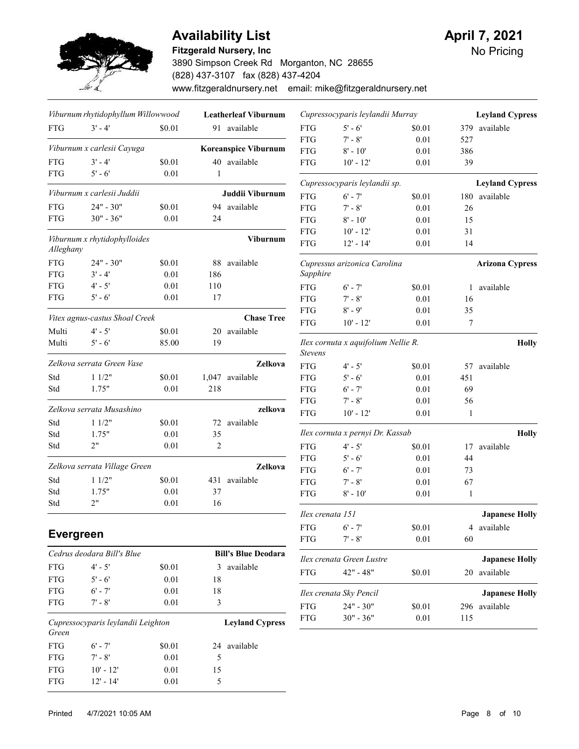

# Availability List **Availability List** April 7, 2021

### Fitzgerald Nursery, Inc

3890 Simpson Creek Rd Morganton, NC 28655 (828) 437-3107 fax (828) 437-4204 www.fitzgeraldnursery.net email: mike@fitzgeraldnursery.net No Pricing

|                  | Viburnum rhytidophyllum Willowwood |                 |                | <b>Leatherleaf Viburnum</b> |                          | Cupressocyparis leylandii Murray    |                    |              | <b>Leyland Cypress</b> |
|------------------|------------------------------------|-----------------|----------------|-----------------------------|--------------------------|-------------------------------------|--------------------|--------------|------------------------|
| <b>FTG</b>       | $3' - 4'$                          | \$0.01          |                | 91 available                | <b>FTG</b>               | $5' - 6'$                           | \$0.01             |              | 379 available          |
|                  |                                    |                 |                |                             | <b>FTG</b>               | $7' - 8'$                           | 0.01               | 527          |                        |
|                  | Viburnum x carlesii Cayuga         |                 |                | <b>Koreanspice Viburnum</b> | <b>FTG</b>               | $8' - 10'$                          | 0.01               | 386          |                        |
| <b>FTG</b>       | $3' - 4'$                          | \$0.01          |                | 40 available                | <b>FTG</b>               | $10' - 12'$                         | $0.01\,$           | 39           |                        |
| <b>FTG</b>       | $5' - 6'$                          | 0.01            | $\mathbf{1}$   |                             |                          | Cupressocyparis leylandii sp.       |                    |              | <b>Leyland Cypress</b> |
|                  | Viburnum x carlesii Juddii         |                 |                | Juddii Viburnum             | <b>FTG</b>               | $6' - 7'$                           | \$0.01             |              | 180 available          |
| ${\rm FTG}$      | $24" - 30"$                        | \$0.01          |                | 94 available                | <b>FTG</b>               | $7' - 8'$                           | 0.01               | 26           |                        |
| <b>FTG</b>       | $30" - 36"$                        | 0.01            | 24             |                             | <b>FTG</b>               | $8' - 10'$                          | $0.01\,$           | 15           |                        |
|                  |                                    |                 |                |                             | <b>FTG</b>               | $10' - 12'$                         | $0.01\,$           | 31           |                        |
| Alleghany        | Viburnum x rhytidophylloides       |                 |                | Viburnum                    | <b>FTG</b>               | $12' - 14'$                         | 0.01               | 14           |                        |
| ${\rm FTG}$      | $24" - 30"$                        | \$0.01          | 88             | available                   |                          | Cupressus arizonica Carolina        |                    |              | <b>Arizona Cypress</b> |
| <b>FTG</b>       | $3' - 4'$                          | 0.01            | 186            |                             | Sapphire                 |                                     |                    |              |                        |
| ${\rm FTG}$      | $4' - 5'$                          | $0.01\,$        | 110            |                             | <b>FTG</b>               | $6' - 7'$                           | \$0.01             |              | 1 available            |
| <b>FTG</b>       | $5' - 6'$                          | 0.01            | 17             |                             | <b>FTG</b>               | $7' - 8'$                           | 0.01               | 16           |                        |
|                  |                                    |                 |                |                             | <b>FTG</b>               | $8' - 9'$                           | $0.01\,$           | 35           |                        |
|                  | Vitex agnus-castus Shoal Creek     |                 |                | <b>Chase Tree</b>           | <b>FTG</b>               | $10' - 12'$                         | 0.01               | 7            |                        |
| Multi<br>Multi   | $4' - 5'$<br>$5' - 6'$             | \$0.01<br>85.00 | 19             | 20 available                |                          | Ilex cornuta x aquifolium Nellie R. |                    |              | <b>Holly</b>           |
|                  | Zelkova serrata Green Vase         |                 |                |                             | <b>Stevens</b>           |                                     |                    |              |                        |
|                  |                                    |                 |                | Zelkova                     | <b>FTG</b>               | $4' - 5'$                           | \$0.01             |              | 57 available           |
| Std              | 11/2"                              | \$0.01          |                | 1,047 available             | <b>FTG</b>               | $5' - 6'$                           | 0.01               | 451          |                        |
| Std              | 1.75"                              | 0.01            | 218            |                             | <b>FTG</b>               | $6' - 7'$                           | 0.01               | 69           |                        |
|                  | Zelkova serrata Musashino          |                 |                | zelkova                     | <b>FTG</b>               | $7' - 8'$                           | $0.01\,$           | 56           |                        |
| Std              | 11/2"                              | \$0.01          |                | 72 available                | <b>FTG</b>               | $10' - 12'$                         | 0.01               | $\mathbf{1}$ |                        |
| Std              | 1.75"                              | 0.01            | 35             |                             |                          | Ilex cornuta x pernyi Dr. Kassab    |                    |              | <b>Holly</b>           |
| Std              | 2"                                 | 0.01            | $\overline{2}$ |                             | <b>FTG</b>               | $4' - 5'$                           | \$0.01             | 17           | available              |
|                  |                                    |                 |                |                             | <b>FTG</b>               | $5' - 6'$                           | $0.01\,$           | 44           |                        |
|                  | Zelkova serrata Village Green      |                 |                | Zelkova                     | <b>FTG</b>               | $6' - 7'$                           | $0.01\,$           | 73           |                        |
| Std              | 11/2"                              | \$0.01          |                | 431 available               | <b>FTG</b>               | $7' - 8'$                           | 0.01               | 67           |                        |
| Std              | 1.75"                              | $0.01\,$        | 37             |                             | <b>FTG</b>               | $8' - 10'$                          | 0.01               | $\mathbf{1}$ |                        |
| Std              | 2"                                 | 0.01            | 16             |                             |                          |                                     |                    |              |                        |
|                  |                                    |                 |                |                             | Ilex crenata 151         |                                     |                    |              | <b>Japanese Holly</b>  |
| <b>Evergreen</b> |                                    |                 |                |                             | <b>FTG</b><br><b>FTG</b> | $6' - 7'$<br>$7' - 8'$              | \$0.01<br>$0.01\,$ | 60           | 4 available            |
|                  | Cedrus deodara Bill's Blue         |                 |                | <b>Bill's Blue Deodara</b>  |                          |                                     |                    |              |                        |
| ${\rm FTG}$      | $4' - 5'$                          | \$0.01          |                | 3 available                 |                          | Ilex crenata Green Lustre           |                    |              | <b>Japanese Holly</b>  |
| ${\rm FTG}$      | $5' - 6'$                          | $0.01\,$        | 18             |                             | <b>FTG</b>               | $42" - 48"$                         | \$0.01             |              | 20 available           |
| <b>FTG</b>       | $6' - 7'$                          | $0.01\,$        | $18\,$         |                             |                          |                                     |                    |              |                        |
| <b>FTG</b>       | $7' - 8'$                          | 0.01            | 3              |                             |                          | Ilex crenata Sky Pencil             |                    |              | <b>Japanese Holly</b>  |
|                  |                                    |                 |                |                             | <b>FTG</b>               | $24" - 30"$                         | \$0.01             |              | 296 available          |
| Green            | Cupressocyparis leylandii Leighton |                 |                | <b>Leyland Cypress</b>      | <b>FTG</b>               | $30" - 36"$                         | 0.01               | 115          |                        |
| ${\rm FTG}$      | $6' - 7'$                          | \$0.01          |                | 24 available                |                          |                                     |                    |              |                        |
| ${\rm FTG}$      | $7^{\prime}$ - $8^{\prime}$        | $0.01\,$        | 5              |                             |                          |                                     |                    |              |                        |
| ${\rm FTG}$      | $10^{\circ}$ - $12^{\circ}$        | 0.01            | 15             |                             |                          |                                     |                    |              |                        |

FTG 12' - 14' 0.01 5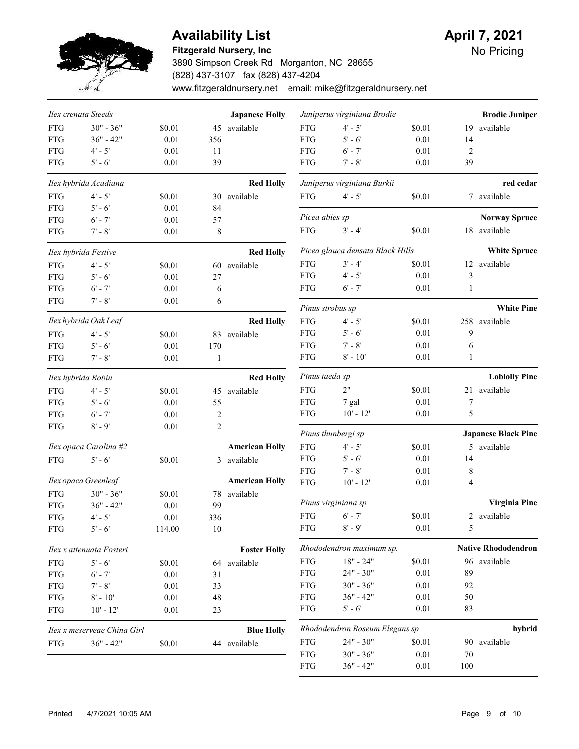

#### Fitzgerald Nursery, Inc

3890 Simpson Creek Rd Morganton, NC 28655 (828) 437-3107 fax (828) 437-4204 www.fitzgeraldnursery.net email: mike@fitzgeraldnursery.net

|             | Ilex crenata Steeds         |          |              | <b>Japanese Holly</b> |                          | Juniperus virginiana Brodie      |              |                | <b>Brodie Juniper</b>      |
|-------------|-----------------------------|----------|--------------|-----------------------|--------------------------|----------------------------------|--------------|----------------|----------------------------|
| <b>FTG</b>  | $30" - 36"$                 | \$0.01   | 45           | available             | <b>FTG</b>               | $4' - 5'$                        | \$0.01       | 19             | available                  |
| <b>FTG</b>  | $36" - 42"$                 | 0.01     | 356          |                       | <b>FTG</b>               | $5' - 6'$                        | 0.01         | 14             |                            |
| ${\rm FTG}$ | $4' - 5'$                   | 0.01     | 11           |                       | <b>FTG</b>               | $6' - 7'$                        | 0.01         | $\overline{2}$ |                            |
| <b>FTG</b>  | $5' - 6'$                   | 0.01     | 39           |                       | <b>FTG</b>               | $7 - 8'$                         | 0.01         | 39             |                            |
|             | Ilex hybrida Acadiana       |          |              | <b>Red Holly</b>      |                          | Juniperus virginiana Burkii      |              |                | red cedar                  |
| <b>FTG</b>  | $4' - 5'$                   | \$0.01   |              | 30 available          | <b>FTG</b>               | $4' - 5'$                        | \$0.01       |                | 7 available                |
| <b>FTG</b>  | $5' - 6'$                   | 0.01     | 84           |                       |                          |                                  |              |                |                            |
| <b>FTG</b>  | $6'$ - 7'                   | 0.01     | 57           |                       | Picea abies sp           |                                  |              |                | <b>Norway Spruce</b>       |
| <b>FTG</b>  | $7 - 8'$                    | 0.01     | 8            |                       | <b>FTG</b>               | $3' - 4'$                        | \$0.01       |                | 18 available               |
|             | Ilex hybrida Festive        |          |              | <b>Red Holly</b>      |                          | Picea glauca densata Black Hills |              |                | <b>White Spruce</b>        |
| <b>FTG</b>  | $4' - 5'$                   | \$0.01   |              | 60 available          | <b>FTG</b>               | $3' - 4'$                        | \$0.01       |                | 12 available               |
| <b>FTG</b>  | $5' - 6'$                   | 0.01     | 27           |                       | <b>FTG</b>               | $4' - 5'$                        | 0.01         | 3              |                            |
| <b>FTG</b>  | $6'$ - $7'$                 | 0.01     | 6            |                       | <b>FTG</b>               | $6'$ - 7'                        | 0.01         | $\mathbf{1}$   |                            |
| <b>FTG</b>  | $7' - 8'$                   | 0.01     | 6            |                       | Pinus strobus sp         |                                  |              |                | <b>White Pine</b>          |
|             | Ilex hybrida Oak Leaf       |          |              | <b>Red Holly</b>      | <b>FTG</b>               | $4' - 5'$                        | \$0.01       |                | 258 available              |
| <b>FTG</b>  | $4' - 5'$                   | \$0.01   |              | 83 available          | <b>FTG</b>               | $5' - 6'$                        | 0.01         | 9              |                            |
| <b>FTG</b>  | $5' - 6'$                   | 0.01     | 170          |                       | <b>FTG</b>               | $7 - 8'$                         | 0.01         | 6              |                            |
| <b>FTG</b>  | $7' - 8'$                   | 0.01     | $\mathbf{1}$ |                       | <b>FTG</b>               | $8' - 10'$                       | 0.01         | $\mathbf{1}$   |                            |
|             | Ilex hybrida Robin          |          |              | <b>Red Holly</b>      | Pinus taeda sp           |                                  |              |                | <b>Loblolly Pine</b>       |
| <b>FTG</b>  | $4' - 5'$                   | \$0.01   |              | 45 available          | <b>FTG</b>               | 2"                               | \$0.01       |                | 21 available               |
| <b>FTG</b>  | $5' - 6'$                   | 0.01     | 55           |                       | <b>FTG</b>               | 7 gal                            | 0.01         | $\tau$         |                            |
| <b>FTG</b>  | $6' - 7'$                   | 0.01     | 2            |                       | <b>FTG</b>               | $10' - 12'$                      | $0.01\,$     | 5              |                            |
| <b>FTG</b>  | $8' - 9'$                   | 0.01     | $\sqrt{2}$   |                       |                          |                                  |              |                |                            |
|             |                             |          |              |                       |                          | Pinus thunbergi sp               |              |                | <b>Japanese Black Pine</b> |
|             | Ilex opaca Carolina #2      |          |              | <b>American Holly</b> | <b>FTG</b>               | $4' - 5'$                        | \$0.01       |                | 5 available                |
| <b>FTG</b>  | $5' - 6'$                   | \$0.01   |              | 3 available           | <b>FTG</b>               | $5' - 6'$                        | 0.01         | 14             |                            |
|             | Ilex opaca Greenleaf        |          |              | <b>American Holly</b> | <b>FTG</b><br><b>FTG</b> | $7' - 8'$<br>$10' - 12'$         | 0.01<br>0.01 | 8<br>4         |                            |
| <b>FTG</b>  | $30" - 36"$                 | \$0.01   | 78           | available             |                          |                                  |              |                |                            |
| <b>FTG</b>  | $36" - 42"$                 | 0.01     | 99           |                       |                          | Pinus virginiana sp              |              |                | <b>Virginia Pine</b>       |
| <b>FTG</b>  | $4' - 5'$                   | 0.01     | 336          |                       | <b>FTG</b>               | $6' - 7'$                        | \$0.01       |                | 2 available                |
| <b>FTG</b>  | $5' - 6'$                   | 114.00   | 10           |                       | ${\rm FTG}$              | $8' - 9'$                        | $0.01\,$     | 5              |                            |
|             | Ilex x attenuata Fosteri    |          |              | <b>Foster Holly</b>   |                          | Rhododendron maximum sp.         |              |                | <b>Native Rhododendron</b> |
| ${\rm FTG}$ | $5' - 6'$                   | \$0.01   |              | 64 available          | ${\rm FTG}$              | $18" - 24"$                      | \$0.01       |                | 96 available               |
| ${\rm FTG}$ | $6' - 7'$                   | $0.01\,$ | 31           |                       | ${\rm FTG}$              | $24" - 30"$                      | $0.01\,$     | 89             |                            |
| ${\rm FTG}$ | $7^{\prime}$ - $8^{\prime}$ | $0.01\,$ | 33           |                       | <b>FTG</b>               | $30" - 36"$                      | $0.01\,$     | 92             |                            |
| ${\rm FTG}$ | $8' - 10'$                  | $0.01\,$ | 48           |                       | <b>FTG</b>               | $36" - 42"$                      | $0.01\,$     | 50             |                            |
| ${\rm FTG}$ | $10' - 12'$                 | 0.01     | 23           |                       | ${\rm FTG}$              | $5' - 6'$                        | 0.01         | 83             |                            |
|             | Ilex x meserveae China Girl |          |              | <b>Blue Holly</b>     |                          | Rhododendron Roseum Elegans sp   |              |                | hybrid                     |
| ${\rm FTG}$ | $36" - 42"$                 | \$0.01   |              | 44 available          | ${\rm FTG}$              | $24" - 30"$                      | \$0.01       |                | 90 available               |
|             |                             |          |              |                       | ${\rm FTG}$              | $30" - 36"$                      | $0.01\,$     | $70\,$         |                            |
|             |                             |          |              |                       | <b>FTG</b>               | $36" - 42"$                      | 0.01         | 100            |                            |